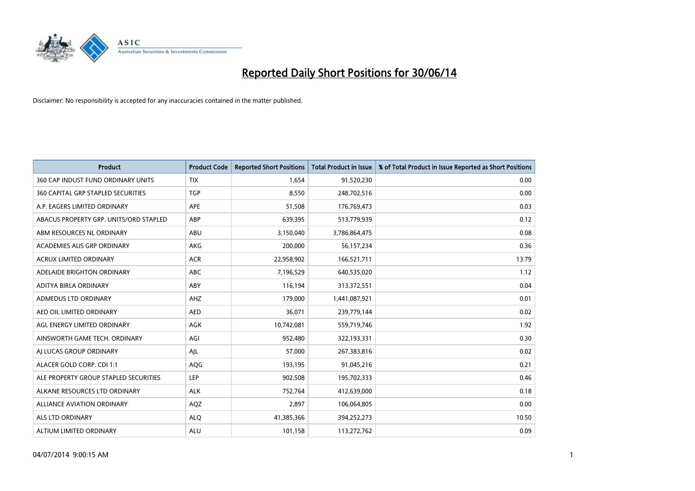

| <b>Product</b>                         | <b>Product Code</b> | <b>Reported Short Positions</b> | <b>Total Product in Issue</b> | % of Total Product in Issue Reported as Short Positions |
|----------------------------------------|---------------------|---------------------------------|-------------------------------|---------------------------------------------------------|
| 360 CAP INDUST FUND ORDINARY UNITS     | <b>TIX</b>          | 1,654                           | 91,520,230                    | 0.00                                                    |
| 360 CAPITAL GRP STAPLED SECURITIES     | <b>TGP</b>          | 8,550                           | 248,702,516                   | 0.00                                                    |
| A.P. EAGERS LIMITED ORDINARY           | APE                 | 51,508                          | 176,769,473                   | 0.03                                                    |
| ABACUS PROPERTY GRP. UNITS/ORD STAPLED | ABP                 | 639,395                         | 513,779,939                   | 0.12                                                    |
| ABM RESOURCES NL ORDINARY              | ABU                 | 3,150,040                       | 3,786,864,475                 | 0.08                                                    |
| ACADEMIES AUS GRP ORDINARY             | AKG                 | 200,000                         | 56,157,234                    | 0.36                                                    |
| <b>ACRUX LIMITED ORDINARY</b>          | <b>ACR</b>          | 22,958,902                      | 166,521,711                   | 13.79                                                   |
| ADELAIDE BRIGHTON ORDINARY             | <b>ABC</b>          | 7,196,529                       | 640,535,020                   | 1.12                                                    |
| ADITYA BIRLA ORDINARY                  | ABY                 | 116,194                         | 313,372,551                   | 0.04                                                    |
| ADMEDUS LTD ORDINARY                   | AHZ                 | 179,000                         | 1,441,087,921                 | 0.01                                                    |
| AED OIL LIMITED ORDINARY               | <b>AED</b>          | 36,071                          | 239,779,144                   | 0.02                                                    |
| AGL ENERGY LIMITED ORDINARY            | AGK                 | 10,742,081                      | 559,719,746                   | 1.92                                                    |
| AINSWORTH GAME TECH. ORDINARY          | AGI                 | 952,480                         | 322,193,331                   | 0.30                                                    |
| AI LUCAS GROUP ORDINARY                | AJL                 | 57,000                          | 267,383,816                   | 0.02                                                    |
| ALACER GOLD CORP. CDI 1:1              | AQG                 | 193,195                         | 91,045,216                    | 0.21                                                    |
| ALE PROPERTY GROUP STAPLED SECURITIES  | LEP                 | 902,508                         | 195,702,333                   | 0.46                                                    |
| ALKANE RESOURCES LTD ORDINARY          | <b>ALK</b>          | 752,764                         | 412,639,000                   | 0.18                                                    |
| ALLIANCE AVIATION ORDINARY             | AQZ                 | 2,897                           | 106,064,805                   | 0.00                                                    |
| ALS LTD ORDINARY                       | <b>ALO</b>          | 41,385,366                      | 394,252,273                   | 10.50                                                   |
| ALTIUM LIMITED ORDINARY                | <b>ALU</b>          | 101,158                         | 113,272,762                   | 0.09                                                    |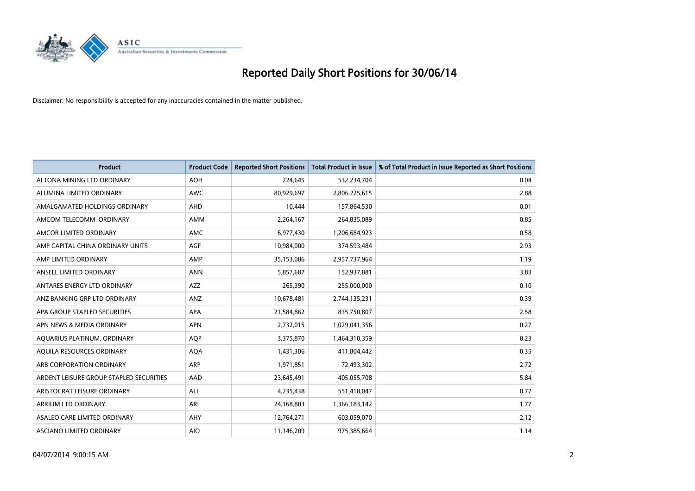

| <b>Product</b>                          | <b>Product Code</b> | <b>Reported Short Positions</b> | <b>Total Product in Issue</b> | % of Total Product in Issue Reported as Short Positions |
|-----------------------------------------|---------------------|---------------------------------|-------------------------------|---------------------------------------------------------|
| ALTONA MINING LTD ORDINARY              | <b>AOH</b>          | 224,645                         | 532,234,704                   | 0.04                                                    |
| ALUMINA LIMITED ORDINARY                | AWC                 | 80,929,697                      | 2,806,225,615                 | 2.88                                                    |
| AMALGAMATED HOLDINGS ORDINARY           | AHD                 | 10,444                          | 157,864,530                   | 0.01                                                    |
| AMCOM TELECOMM. ORDINARY                | AMM                 | 2,264,167                       | 264,835,089                   | 0.85                                                    |
| AMCOR LIMITED ORDINARY                  | AMC                 | 6,977,430                       | 1,206,684,923                 | 0.58                                                    |
| AMP CAPITAL CHINA ORDINARY UNITS        | <b>AGF</b>          | 10,984,000                      | 374,593,484                   | 2.93                                                    |
| AMP LIMITED ORDINARY                    | AMP                 | 35,153,086                      | 2,957,737,964                 | 1.19                                                    |
| ANSELL LIMITED ORDINARY                 | <b>ANN</b>          | 5,857,687                       | 152,937,881                   | 3.83                                                    |
| ANTARES ENERGY LTD ORDINARY             | <b>AZZ</b>          | 265,390                         | 255,000,000                   | 0.10                                                    |
| ANZ BANKING GRP LTD ORDINARY            | ANZ                 | 10,678,481                      | 2,744,135,231                 | 0.39                                                    |
| APA GROUP STAPLED SECURITIES            | APA                 | 21,584,862                      | 835,750,807                   | 2.58                                                    |
| APN NEWS & MEDIA ORDINARY               | <b>APN</b>          | 2,732,015                       | 1,029,041,356                 | 0.27                                                    |
| AQUARIUS PLATINUM. ORDINARY             | <b>AOP</b>          | 3,375,870                       | 1,464,310,359                 | 0.23                                                    |
| AQUILA RESOURCES ORDINARY               | <b>AQA</b>          | 1,431,306                       | 411,804,442                   | 0.35                                                    |
| ARB CORPORATION ORDINARY                | ARP                 | 1,971,851                       | 72,493,302                    | 2.72                                                    |
| ARDENT LEISURE GROUP STAPLED SECURITIES | AAD                 | 23,645,491                      | 405,055,708                   | 5.84                                                    |
| ARISTOCRAT LEISURE ORDINARY             | ALL                 | 4,235,438                       | 551,418,047                   | 0.77                                                    |
| ARRIUM LTD ORDINARY                     | ARI                 | 24,168,803                      | 1,366,183,142                 | 1.77                                                    |
| ASALEO CARE LIMITED ORDINARY            | AHY                 | 12,764,271                      | 603,059,070                   | 2.12                                                    |
| ASCIANO LIMITED ORDINARY                | <b>AIO</b>          | 11,146,209                      | 975,385,664                   | 1.14                                                    |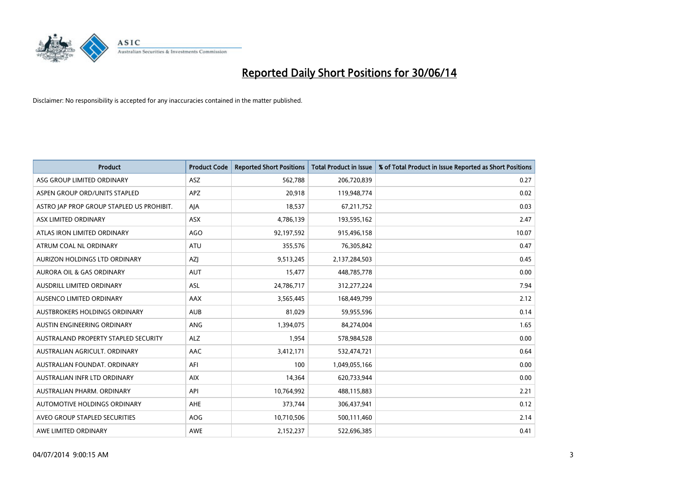

| <b>Product</b>                            | <b>Product Code</b> | <b>Reported Short Positions</b> | <b>Total Product in Issue</b> | % of Total Product in Issue Reported as Short Positions |
|-------------------------------------------|---------------------|---------------------------------|-------------------------------|---------------------------------------------------------|
| ASG GROUP LIMITED ORDINARY                | ASZ                 | 562,788                         | 206,720,839                   | 0.27                                                    |
| ASPEN GROUP ORD/UNITS STAPLED             | <b>APZ</b>          | 20,918                          | 119,948,774                   | 0.02                                                    |
| ASTRO JAP PROP GROUP STAPLED US PROHIBIT. | AJA                 | 18,537                          | 67,211,752                    | 0.03                                                    |
| ASX LIMITED ORDINARY                      | ASX                 | 4,786,139                       | 193,595,162                   | 2.47                                                    |
| ATLAS IRON LIMITED ORDINARY               | <b>AGO</b>          | 92,197,592                      | 915,496,158                   | 10.07                                                   |
| ATRUM COAL NL ORDINARY                    | <b>ATU</b>          | 355,576                         | 76,305,842                    | 0.47                                                    |
| AURIZON HOLDINGS LTD ORDINARY             | AZJ                 | 9,513,245                       | 2,137,284,503                 | 0.45                                                    |
| AURORA OIL & GAS ORDINARY                 | AUT                 | 15,477                          | 448,785,778                   | 0.00                                                    |
| AUSDRILL LIMITED ORDINARY                 | ASL                 | 24,786,717                      | 312,277,224                   | 7.94                                                    |
| <b>AUSENCO LIMITED ORDINARY</b>           | <b>AAX</b>          | 3,565,445                       | 168,449,799                   | 2.12                                                    |
| AUSTBROKERS HOLDINGS ORDINARY             | <b>AUB</b>          | 81,029                          | 59,955,596                    | 0.14                                                    |
| AUSTIN ENGINEERING ORDINARY               | ANG                 | 1,394,075                       | 84,274,004                    | 1.65                                                    |
| AUSTRALAND PROPERTY STAPLED SECURITY      | <b>ALZ</b>          | 1,954                           | 578,984,528                   | 0.00                                                    |
| AUSTRALIAN AGRICULT, ORDINARY             | AAC                 | 3,412,171                       | 532,474,721                   | 0.64                                                    |
| AUSTRALIAN FOUNDAT, ORDINARY              | AFI                 | 100                             | 1,049,055,166                 | 0.00                                                    |
| AUSTRALIAN INFR LTD ORDINARY              | <b>AIX</b>          | 14,364                          | 620,733,944                   | 0.00                                                    |
| AUSTRALIAN PHARM, ORDINARY                | API                 | 10,764,992                      | 488,115,883                   | 2.21                                                    |
| AUTOMOTIVE HOLDINGS ORDINARY              | AHE                 | 373,744                         | 306,437,941                   | 0.12                                                    |
| AVEO GROUP STAPLED SECURITIES             | AOG                 | 10,710,506                      | 500,111,460                   | 2.14                                                    |
| AWE LIMITED ORDINARY                      | <b>AWE</b>          | 2,152,237                       | 522,696,385                   | 0.41                                                    |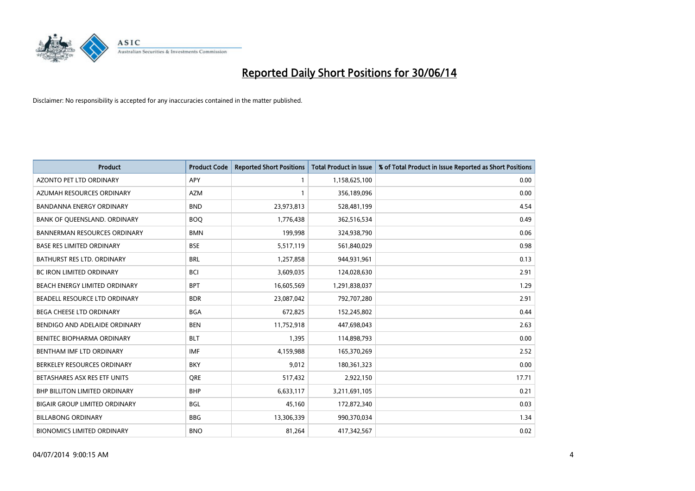

| <b>Product</b>                       | <b>Product Code</b> | <b>Reported Short Positions</b> | <b>Total Product in Issue</b> | % of Total Product in Issue Reported as Short Positions |
|--------------------------------------|---------------------|---------------------------------|-------------------------------|---------------------------------------------------------|
| <b>AZONTO PET LTD ORDINARY</b>       | APY                 | 1                               | 1,158,625,100                 | 0.00                                                    |
| AZUMAH RESOURCES ORDINARY            | AZM                 | $\mathbf{1}$                    | 356,189,096                   | 0.00                                                    |
| <b>BANDANNA ENERGY ORDINARY</b>      | <b>BND</b>          | 23,973,813                      | 528,481,199                   | 4.54                                                    |
| BANK OF QUEENSLAND. ORDINARY         | <b>BOQ</b>          | 1,776,438                       | 362,516,534                   | 0.49                                                    |
| <b>BANNERMAN RESOURCES ORDINARY</b>  | <b>BMN</b>          | 199,998                         | 324,938,790                   | 0.06                                                    |
| <b>BASE RES LIMITED ORDINARY</b>     | <b>BSE</b>          | 5,517,119                       | 561,840,029                   | 0.98                                                    |
| BATHURST RES LTD. ORDINARY           | <b>BRL</b>          | 1,257,858                       | 944,931,961                   | 0.13                                                    |
| BC IRON LIMITED ORDINARY             | <b>BCI</b>          | 3,609,035                       | 124,028,630                   | 2.91                                                    |
| BEACH ENERGY LIMITED ORDINARY        | <b>BPT</b>          | 16,605,569                      | 1,291,838,037                 | 1.29                                                    |
| <b>BEADELL RESOURCE LTD ORDINARY</b> | <b>BDR</b>          | 23,087,042                      | 792,707,280                   | 2.91                                                    |
| BEGA CHEESE LTD ORDINARY             | <b>BGA</b>          | 672,825                         | 152,245,802                   | 0.44                                                    |
| BENDIGO AND ADELAIDE ORDINARY        | <b>BEN</b>          | 11,752,918                      | 447,698,043                   | 2.63                                                    |
| BENITEC BIOPHARMA ORDINARY           | <b>BLT</b>          | 1,395                           | 114,898,793                   | 0.00                                                    |
| BENTHAM IMF LTD ORDINARY             | <b>IMF</b>          | 4,159,988                       | 165,370,269                   | 2.52                                                    |
| BERKELEY RESOURCES ORDINARY          | <b>BKY</b>          | 9,012                           | 180,361,323                   | 0.00                                                    |
| BETASHARES ASX RES ETF UNITS         | <b>ORE</b>          | 517,432                         | 2,922,150                     | 17.71                                                   |
| BHP BILLITON LIMITED ORDINARY        | <b>BHP</b>          | 6,633,117                       | 3,211,691,105                 | 0.21                                                    |
| BIGAIR GROUP LIMITED ORDINARY        | <b>BGL</b>          | 45,160                          | 172,872,340                   | 0.03                                                    |
| <b>BILLABONG ORDINARY</b>            | <b>BBG</b>          | 13,306,339                      | 990,370,034                   | 1.34                                                    |
| <b>BIONOMICS LIMITED ORDINARY</b>    | <b>BNO</b>          | 81,264                          | 417,342,567                   | 0.02                                                    |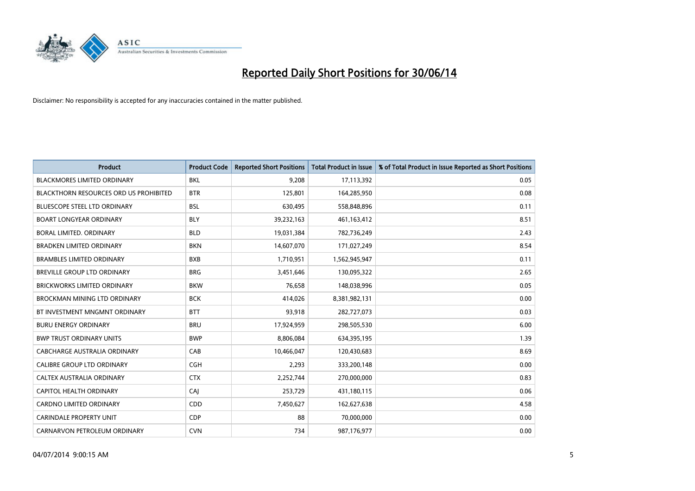

| <b>Product</b>                         | <b>Product Code</b> | <b>Reported Short Positions</b> | <b>Total Product in Issue</b> | % of Total Product in Issue Reported as Short Positions |
|----------------------------------------|---------------------|---------------------------------|-------------------------------|---------------------------------------------------------|
| <b>BLACKMORES LIMITED ORDINARY</b>     | <b>BKL</b>          | 9,208                           | 17,113,392                    | 0.05                                                    |
| BLACKTHORN RESOURCES ORD US PROHIBITED | <b>BTR</b>          | 125,801                         | 164,285,950                   | 0.08                                                    |
| BLUESCOPE STEEL LTD ORDINARY           | <b>BSL</b>          | 630,495                         | 558,848,896                   | 0.11                                                    |
| <b>BOART LONGYEAR ORDINARY</b>         | <b>BLY</b>          | 39,232,163                      | 461,163,412                   | 8.51                                                    |
| <b>BORAL LIMITED, ORDINARY</b>         | <b>BLD</b>          | 19,031,384                      | 782,736,249                   | 2.43                                                    |
| <b>BRADKEN LIMITED ORDINARY</b>        | <b>BKN</b>          | 14,607,070                      | 171,027,249                   | 8.54                                                    |
| <b>BRAMBLES LIMITED ORDINARY</b>       | <b>BXB</b>          | 1,710,951                       | 1,562,945,947                 | 0.11                                                    |
| BREVILLE GROUP LTD ORDINARY            | <b>BRG</b>          | 3,451,646                       | 130,095,322                   | 2.65                                                    |
| <b>BRICKWORKS LIMITED ORDINARY</b>     | <b>BKW</b>          | 76,658                          | 148,038,996                   | 0.05                                                    |
| <b>BROCKMAN MINING LTD ORDINARY</b>    | <b>BCK</b>          | 414,026                         | 8,381,982,131                 | 0.00                                                    |
| BT INVESTMENT MNGMNT ORDINARY          | <b>BTT</b>          | 93,918                          | 282,727,073                   | 0.03                                                    |
| <b>BURU ENERGY ORDINARY</b>            | <b>BRU</b>          | 17,924,959                      | 298,505,530                   | 6.00                                                    |
| <b>BWP TRUST ORDINARY UNITS</b>        | <b>BWP</b>          | 8,806,084                       | 634,395,195                   | 1.39                                                    |
| <b>CABCHARGE AUSTRALIA ORDINARY</b>    | CAB                 | 10,466,047                      | 120,430,683                   | 8.69                                                    |
| <b>CALIBRE GROUP LTD ORDINARY</b>      | <b>CGH</b>          | 2,293                           | 333,200,148                   | 0.00                                                    |
| CALTEX AUSTRALIA ORDINARY              | <b>CTX</b>          | 2,252,744                       | 270,000,000                   | 0.83                                                    |
| CAPITOL HEALTH ORDINARY                | CAJ                 | 253,729                         | 431,180,115                   | 0.06                                                    |
| <b>CARDNO LIMITED ORDINARY</b>         | CDD                 | 7,450,627                       | 162,627,638                   | 4.58                                                    |
| <b>CARINDALE PROPERTY UNIT</b>         | <b>CDP</b>          | 88                              | 70,000,000                    | 0.00                                                    |
| CARNARVON PETROLEUM ORDINARY           | <b>CVN</b>          | 734                             | 987,176,977                   | 0.00                                                    |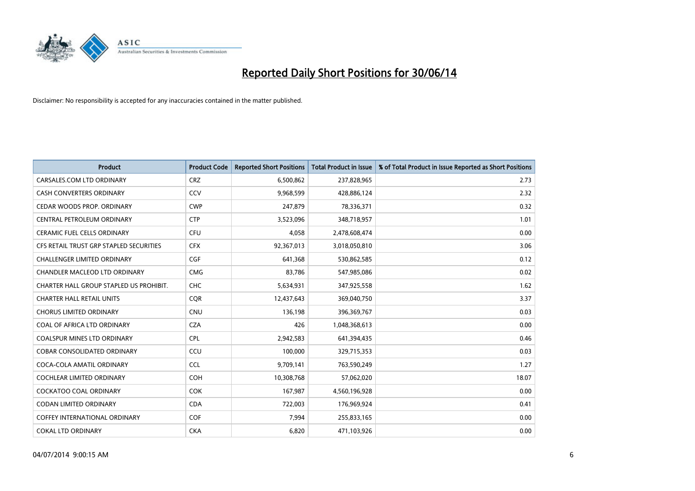

| <b>Product</b>                          | <b>Product Code</b> | <b>Reported Short Positions</b> | <b>Total Product in Issue</b> | % of Total Product in Issue Reported as Short Positions |
|-----------------------------------------|---------------------|---------------------------------|-------------------------------|---------------------------------------------------------|
| CARSALES.COM LTD ORDINARY               | <b>CRZ</b>          | 6,500,862                       | 237,828,965                   | 2.73                                                    |
| CASH CONVERTERS ORDINARY                | CCV                 | 9,968,599                       | 428,886,124                   | 2.32                                                    |
| CEDAR WOODS PROP. ORDINARY              | <b>CWP</b>          | 247,879                         | 78,336,371                    | 0.32                                                    |
| CENTRAL PETROLEUM ORDINARY              | <b>CTP</b>          | 3,523,096                       | 348,718,957                   | 1.01                                                    |
| <b>CERAMIC FUEL CELLS ORDINARY</b>      | <b>CFU</b>          | 4,058                           | 2,478,608,474                 | 0.00                                                    |
| CFS RETAIL TRUST GRP STAPLED SECURITIES | <b>CFX</b>          | 92,367,013                      | 3,018,050,810                 | 3.06                                                    |
| <b>CHALLENGER LIMITED ORDINARY</b>      | <b>CGF</b>          | 641,368                         | 530,862,585                   | 0.12                                                    |
| CHANDLER MACLEOD LTD ORDINARY           | <b>CMG</b>          | 83,786                          | 547,985,086                   | 0.02                                                    |
| CHARTER HALL GROUP STAPLED US PROHIBIT. | <b>CHC</b>          | 5,634,931                       | 347,925,558                   | 1.62                                                    |
| <b>CHARTER HALL RETAIL UNITS</b>        | <b>COR</b>          | 12,437,643                      | 369,040,750                   | 3.37                                                    |
| <b>CHORUS LIMITED ORDINARY</b>          | <b>CNU</b>          | 136,198                         | 396,369,767                   | 0.03                                                    |
| COAL OF AFRICA LTD ORDINARY             | <b>CZA</b>          | 426                             | 1,048,368,613                 | 0.00                                                    |
| COALSPUR MINES LTD ORDINARY             | <b>CPL</b>          | 2,942,583                       | 641,394,435                   | 0.46                                                    |
| <b>COBAR CONSOLIDATED ORDINARY</b>      | CCU                 | 100,000                         | 329,715,353                   | 0.03                                                    |
| COCA-COLA AMATIL ORDINARY               | <b>CCL</b>          | 9,709,141                       | 763,590,249                   | 1.27                                                    |
| <b>COCHLEAR LIMITED ORDINARY</b>        | <b>COH</b>          | 10,308,768                      | 57,062,020                    | 18.07                                                   |
| <b>COCKATOO COAL ORDINARY</b>           | <b>COK</b>          | 167,987                         | 4,560,196,928                 | 0.00                                                    |
| <b>CODAN LIMITED ORDINARY</b>           | <b>CDA</b>          | 722,003                         | 176,969,924                   | 0.41                                                    |
| <b>COFFEY INTERNATIONAL ORDINARY</b>    | COF                 | 7,994                           | 255,833,165                   | 0.00                                                    |
| <b>COKAL LTD ORDINARY</b>               | <b>CKA</b>          | 6,820                           | 471,103,926                   | 0.00                                                    |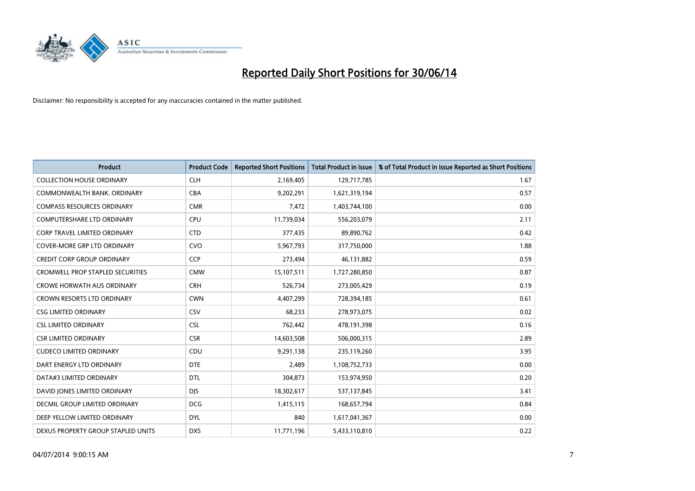

| <b>Product</b>                          | <b>Product Code</b> | <b>Reported Short Positions</b> | <b>Total Product in Issue</b> | % of Total Product in Issue Reported as Short Positions |
|-----------------------------------------|---------------------|---------------------------------|-------------------------------|---------------------------------------------------------|
| <b>COLLECTION HOUSE ORDINARY</b>        | <b>CLH</b>          | 2,169,405                       | 129,717,785                   | 1.67                                                    |
| COMMONWEALTH BANK, ORDINARY             | <b>CBA</b>          | 9,202,291                       | 1,621,319,194                 | 0.57                                                    |
| <b>COMPASS RESOURCES ORDINARY</b>       | <b>CMR</b>          | 7,472                           | 1,403,744,100                 | 0.00                                                    |
| <b>COMPUTERSHARE LTD ORDINARY</b>       | <b>CPU</b>          | 11,739,034                      | 556,203,079                   | 2.11                                                    |
| <b>CORP TRAVEL LIMITED ORDINARY</b>     | <b>CTD</b>          | 377,435                         | 89,890,762                    | 0.42                                                    |
| <b>COVER-MORE GRP LTD ORDINARY</b>      | <b>CVO</b>          | 5,967,793                       | 317,750,000                   | 1.88                                                    |
| <b>CREDIT CORP GROUP ORDINARY</b>       | <b>CCP</b>          | 273,494                         | 46,131,882                    | 0.59                                                    |
| <b>CROMWELL PROP STAPLED SECURITIES</b> | <b>CMW</b>          | 15,107,511                      | 1,727,280,850                 | 0.87                                                    |
| <b>CROWE HORWATH AUS ORDINARY</b>       | <b>CRH</b>          | 526,734                         | 273,005,429                   | 0.19                                                    |
| <b>CROWN RESORTS LTD ORDINARY</b>       | <b>CWN</b>          | 4,407,299                       | 728,394,185                   | 0.61                                                    |
| <b>CSG LIMITED ORDINARY</b>             | CSV                 | 68,233                          | 278,973,075                   | 0.02                                                    |
| <b>CSL LIMITED ORDINARY</b>             | <b>CSL</b>          | 762,442                         | 478,191,398                   | 0.16                                                    |
| <b>CSR LIMITED ORDINARY</b>             | <b>CSR</b>          | 14,603,508                      | 506,000,315                   | 2.89                                                    |
| <b>CUDECO LIMITED ORDINARY</b>          | CDU                 | 9,291,138                       | 235,119,260                   | 3.95                                                    |
| DART ENERGY LTD ORDINARY                | <b>DTE</b>          | 2,489                           | 1,108,752,733                 | 0.00                                                    |
| DATA#3 LIMITED ORDINARY                 | DTL                 | 304,873                         | 153,974,950                   | 0.20                                                    |
| DAVID JONES LIMITED ORDINARY            | <b>DJS</b>          | 18,302,617                      | 537,137,845                   | 3.41                                                    |
| <b>DECMIL GROUP LIMITED ORDINARY</b>    | <b>DCG</b>          | 1,415,115                       | 168,657,794                   | 0.84                                                    |
| DEEP YELLOW LIMITED ORDINARY            | <b>DYL</b>          | 840                             | 1,617,041,367                 | 0.00                                                    |
| DEXUS PROPERTY GROUP STAPLED UNITS      | <b>DXS</b>          | 11,771,196                      | 5,433,110,810                 | 0.22                                                    |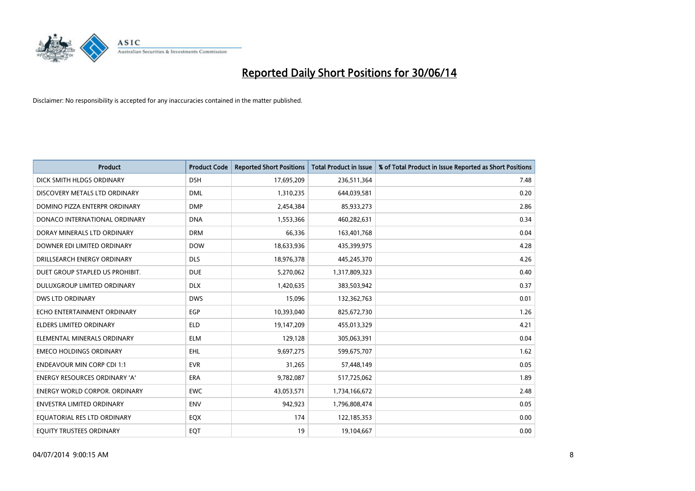

| <b>Product</b>                       | <b>Product Code</b> | <b>Reported Short Positions</b> | <b>Total Product in Issue</b> | % of Total Product in Issue Reported as Short Positions |
|--------------------------------------|---------------------|---------------------------------|-------------------------------|---------------------------------------------------------|
| DICK SMITH HLDGS ORDINARY            | <b>DSH</b>          | 17,695,209                      | 236,511,364                   | 7.48                                                    |
| DISCOVERY METALS LTD ORDINARY        | <b>DML</b>          | 1,310,235                       | 644,039,581                   | 0.20                                                    |
| DOMINO PIZZA ENTERPR ORDINARY        | <b>DMP</b>          | 2,454,384                       | 85,933,273                    | 2.86                                                    |
| DONACO INTERNATIONAL ORDINARY        | <b>DNA</b>          | 1,553,366                       | 460,282,631                   | 0.34                                                    |
| DORAY MINERALS LTD ORDINARY          | <b>DRM</b>          | 66,336                          | 163,401,768                   | 0.04                                                    |
| DOWNER EDI LIMITED ORDINARY          | <b>DOW</b>          | 18,633,936                      | 435,399,975                   | 4.28                                                    |
| DRILLSEARCH ENERGY ORDINARY          | <b>DLS</b>          | 18,976,378                      | 445,245,370                   | 4.26                                                    |
| DUET GROUP STAPLED US PROHIBIT.      | <b>DUE</b>          | 5,270,062                       | 1,317,809,323                 | 0.40                                                    |
| DULUXGROUP LIMITED ORDINARY          | <b>DLX</b>          | 1,420,635                       | 383,503,942                   | 0.37                                                    |
| <b>DWS LTD ORDINARY</b>              | <b>DWS</b>          | 15,096                          | 132,362,763                   | 0.01                                                    |
| ECHO ENTERTAINMENT ORDINARY          | <b>EGP</b>          | 10,393,040                      | 825,672,730                   | 1.26                                                    |
| <b>ELDERS LIMITED ORDINARY</b>       | <b>ELD</b>          | 19,147,209                      | 455,013,329                   | 4.21                                                    |
| ELEMENTAL MINERALS ORDINARY          | <b>ELM</b>          | 129,128                         | 305,063,391                   | 0.04                                                    |
| <b>EMECO HOLDINGS ORDINARY</b>       | EHL                 | 9,697,275                       | 599,675,707                   | 1.62                                                    |
| <b>ENDEAVOUR MIN CORP CDI 1:1</b>    | <b>EVR</b>          | 31,265                          | 57,448,149                    | 0.05                                                    |
| <b>ENERGY RESOURCES ORDINARY 'A'</b> | ERA                 | 9,782,087                       | 517,725,062                   | 1.89                                                    |
| <b>ENERGY WORLD CORPOR. ORDINARY</b> | <b>EWC</b>          | 43,053,571                      | 1,734,166,672                 | 2.48                                                    |
| ENVESTRA LIMITED ORDINARY            | <b>ENV</b>          | 942,923                         | 1,796,808,474                 | 0.05                                                    |
| EQUATORIAL RES LTD ORDINARY          | EQX                 | 174                             | 122,185,353                   | 0.00                                                    |
| EQUITY TRUSTEES ORDINARY             | EQT                 | 19                              | 19,104,667                    | 0.00                                                    |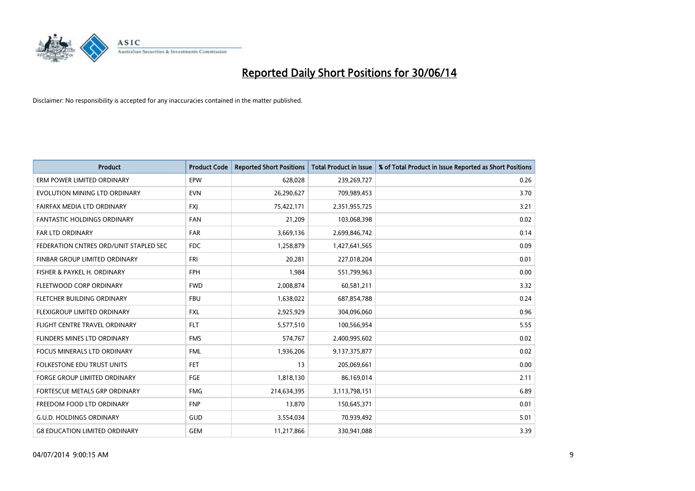

| <b>Product</b>                         | <b>Product Code</b> | <b>Reported Short Positions</b> | <b>Total Product in Issue</b> | % of Total Product in Issue Reported as Short Positions |
|----------------------------------------|---------------------|---------------------------------|-------------------------------|---------------------------------------------------------|
| ERM POWER LIMITED ORDINARY             | EPW                 | 628,028                         | 239,269,727                   | 0.26                                                    |
| EVOLUTION MINING LTD ORDINARY          | <b>EVN</b>          | 26,290,627                      | 709,989,453                   | 3.70                                                    |
| FAIRFAX MEDIA LTD ORDINARY             | <b>FXI</b>          | 75,422,171                      | 2,351,955,725                 | 3.21                                                    |
| FANTASTIC HOLDINGS ORDINARY            | <b>FAN</b>          | 21,209                          | 103,068,398                   | 0.02                                                    |
| <b>FAR LTD ORDINARY</b>                | <b>FAR</b>          | 3,669,136                       | 2,699,846,742                 | 0.14                                                    |
| FEDERATION CNTRES ORD/UNIT STAPLED SEC | <b>FDC</b>          | 1,258,879                       | 1,427,641,565                 | 0.09                                                    |
| FINBAR GROUP LIMITED ORDINARY          | <b>FRI</b>          | 20,281                          | 227,018,204                   | 0.01                                                    |
| FISHER & PAYKEL H. ORDINARY            | <b>FPH</b>          | 1,984                           | 551,799,963                   | 0.00                                                    |
| FLEETWOOD CORP ORDINARY                | <b>FWD</b>          | 2,008,874                       | 60,581,211                    | 3.32                                                    |
| FLETCHER BUILDING ORDINARY             | <b>FBU</b>          | 1,638,022                       | 687,854,788                   | 0.24                                                    |
| FLEXIGROUP LIMITED ORDINARY            | FXL                 | 2,925,929                       | 304,096,060                   | 0.96                                                    |
| FLIGHT CENTRE TRAVEL ORDINARY          | <b>FLT</b>          | 5,577,510                       | 100,566,954                   | 5.55                                                    |
| FLINDERS MINES LTD ORDINARY            | <b>FMS</b>          | 574,767                         | 2,400,995,602                 | 0.02                                                    |
| <b>FOCUS MINERALS LTD ORDINARY</b>     | <b>FML</b>          | 1,936,206                       | 9,137,375,877                 | 0.02                                                    |
| <b>FOLKESTONE EDU TRUST UNITS</b>      | <b>FET</b>          | 13                              | 205,069,661                   | 0.00                                                    |
| FORGE GROUP LIMITED ORDINARY           | FGE                 | 1,818,130                       | 86,169,014                    | 2.11                                                    |
| FORTESCUE METALS GRP ORDINARY          | <b>FMG</b>          | 214,634,395                     | 3,113,798,151                 | 6.89                                                    |
| FREEDOM FOOD LTD ORDINARY              | <b>FNP</b>          | 13,870                          | 150,645,371                   | 0.01                                                    |
| <b>G.U.D. HOLDINGS ORDINARY</b>        | GUD                 | 3,554,034                       | 70,939,492                    | 5.01                                                    |
| <b>G8 EDUCATION LIMITED ORDINARY</b>   | <b>GEM</b>          | 11,217,866                      | 330,941,088                   | 3.39                                                    |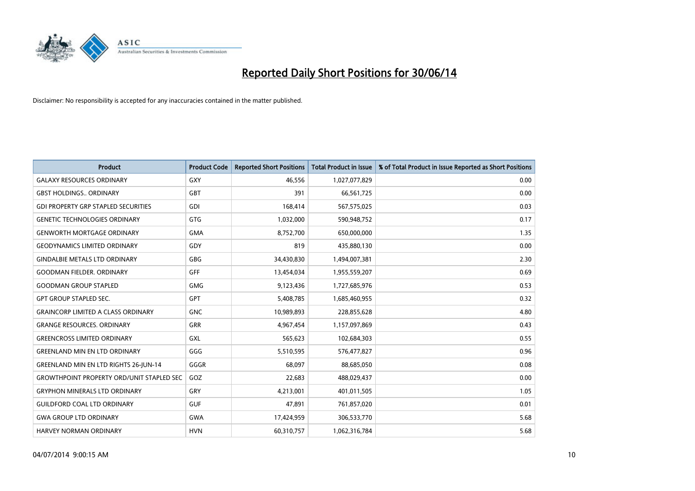

| <b>Product</b>                                   | <b>Product Code</b> | <b>Reported Short Positions</b> | <b>Total Product in Issue</b> | % of Total Product in Issue Reported as Short Positions |
|--------------------------------------------------|---------------------|---------------------------------|-------------------------------|---------------------------------------------------------|
| <b>GALAXY RESOURCES ORDINARY</b>                 | <b>GXY</b>          | 46,556                          | 1,027,077,829                 | 0.00                                                    |
| <b>GBST HOLDINGS ORDINARY</b>                    | <b>GBT</b>          | 391                             | 66,561,725                    | 0.00                                                    |
| <b>GDI PROPERTY GRP STAPLED SECURITIES</b>       | <b>GDI</b>          | 168,414                         | 567,575,025                   | 0.03                                                    |
| <b>GENETIC TECHNOLOGIES ORDINARY</b>             | <b>GTG</b>          | 1,032,000                       | 590,948,752                   | 0.17                                                    |
| <b>GENWORTH MORTGAGE ORDINARY</b>                | <b>GMA</b>          | 8,752,700                       | 650,000,000                   | 1.35                                                    |
| <b>GEODYNAMICS LIMITED ORDINARY</b>              | GDY                 | 819                             | 435,880,130                   | 0.00                                                    |
| <b>GINDALBIE METALS LTD ORDINARY</b>             | <b>GBG</b>          | 34,430,830                      | 1,494,007,381                 | 2.30                                                    |
| <b>GOODMAN FIELDER, ORDINARY</b>                 | <b>GFF</b>          | 13,454,034                      | 1,955,559,207                 | 0.69                                                    |
| <b>GOODMAN GROUP STAPLED</b>                     | <b>GMG</b>          | 9,123,436                       | 1,727,685,976                 | 0.53                                                    |
| <b>GPT GROUP STAPLED SEC.</b>                    | GPT                 | 5,408,785                       | 1,685,460,955                 | 0.32                                                    |
| <b>GRAINCORP LIMITED A CLASS ORDINARY</b>        | <b>GNC</b>          | 10,989,893                      | 228,855,628                   | 4.80                                                    |
| <b>GRANGE RESOURCES. ORDINARY</b>                | <b>GRR</b>          | 4,967,454                       | 1,157,097,869                 | 0.43                                                    |
| <b>GREENCROSS LIMITED ORDINARY</b>               | GXL                 | 565,623                         | 102,684,303                   | 0.55                                                    |
| <b>GREENLAND MIN EN LTD ORDINARY</b>             | GGG                 | 5,510,595                       | 576,477,827                   | 0.96                                                    |
| <b>GREENLAND MIN EN LTD RIGHTS 26-JUN-14</b>     | GGGR                | 68,097                          | 88,685,050                    | 0.08                                                    |
| <b>GROWTHPOINT PROPERTY ORD/UNIT STAPLED SEC</b> | GOZ                 | 22,683                          | 488,029,437                   | 0.00                                                    |
| <b>GRYPHON MINERALS LTD ORDINARY</b>             | GRY                 | 4,213,001                       | 401,011,505                   | 1.05                                                    |
| <b>GUILDFORD COAL LTD ORDINARY</b>               | <b>GUF</b>          | 47,891                          | 761,857,020                   | 0.01                                                    |
| <b>GWA GROUP LTD ORDINARY</b>                    | <b>GWA</b>          | 17,424,959                      | 306,533,770                   | 5.68                                                    |
| <b>HARVEY NORMAN ORDINARY</b>                    | <b>HVN</b>          | 60,310,757                      | 1,062,316,784                 | 5.68                                                    |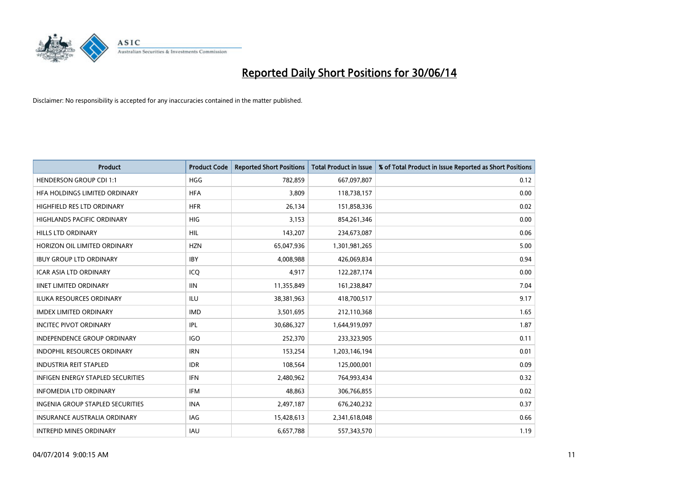

| <b>Product</b>                           | <b>Product Code</b> | <b>Reported Short Positions</b> | <b>Total Product in Issue</b> | % of Total Product in Issue Reported as Short Positions |
|------------------------------------------|---------------------|---------------------------------|-------------------------------|---------------------------------------------------------|
| <b>HENDERSON GROUP CDI 1:1</b>           | <b>HGG</b>          | 782,859                         | 667,097,807                   | 0.12                                                    |
| HFA HOLDINGS LIMITED ORDINARY            | <b>HFA</b>          | 3,809                           | 118,738,157                   | 0.00                                                    |
| HIGHFIELD RES LTD ORDINARY               | <b>HFR</b>          | 26,134                          | 151,858,336                   | 0.02                                                    |
| HIGHLANDS PACIFIC ORDINARY               | HIG                 | 3,153                           | 854,261,346                   | 0.00                                                    |
| <b>HILLS LTD ORDINARY</b>                | <b>HIL</b>          | 143,207                         | 234,673,087                   | 0.06                                                    |
| HORIZON OIL LIMITED ORDINARY             | <b>HZN</b>          | 65,047,936                      | 1,301,981,265                 | 5.00                                                    |
| <b>IBUY GROUP LTD ORDINARY</b>           | <b>IBY</b>          | 4.008.988                       | 426,069,834                   | 0.94                                                    |
| <b>ICAR ASIA LTD ORDINARY</b>            | ICQ                 | 4,917                           | 122,287,174                   | 0.00                                                    |
| <b>IINET LIMITED ORDINARY</b>            | <b>IIN</b>          | 11,355,849                      | 161,238,847                   | 7.04                                                    |
| <b>ILUKA RESOURCES ORDINARY</b>          | <b>ILU</b>          | 38,381,963                      | 418,700,517                   | 9.17                                                    |
| <b>IMDEX LIMITED ORDINARY</b>            | <b>IMD</b>          | 3,501,695                       | 212,110,368                   | 1.65                                                    |
| <b>INCITEC PIVOT ORDINARY</b>            | IPL                 | 30,686,327                      | 1,644,919,097                 | 1.87                                                    |
| <b>INDEPENDENCE GROUP ORDINARY</b>       | <b>IGO</b>          | 252,370                         | 233,323,905                   | 0.11                                                    |
| <b>INDOPHIL RESOURCES ORDINARY</b>       | <b>IRN</b>          | 153,254                         | 1,203,146,194                 | 0.01                                                    |
| <b>INDUSTRIA REIT STAPLED</b>            | <b>IDR</b>          | 108,564                         | 125,000,001                   | 0.09                                                    |
| <b>INFIGEN ENERGY STAPLED SECURITIES</b> | <b>IFN</b>          | 2,480,962                       | 764,993,434                   | 0.32                                                    |
| <b>INFOMEDIA LTD ORDINARY</b>            | IFM                 | 48,863                          | 306,766,855                   | 0.02                                                    |
| <b>INGENIA GROUP STAPLED SECURITIES</b>  | <b>INA</b>          | 2,497,187                       | 676,240,232                   | 0.37                                                    |
| <b>INSURANCE AUSTRALIA ORDINARY</b>      | IAG                 | 15,428,613                      | 2,341,618,048                 | 0.66                                                    |
| <b>INTREPID MINES ORDINARY</b>           | <b>IAU</b>          | 6,657,788                       | 557,343,570                   | 1.19                                                    |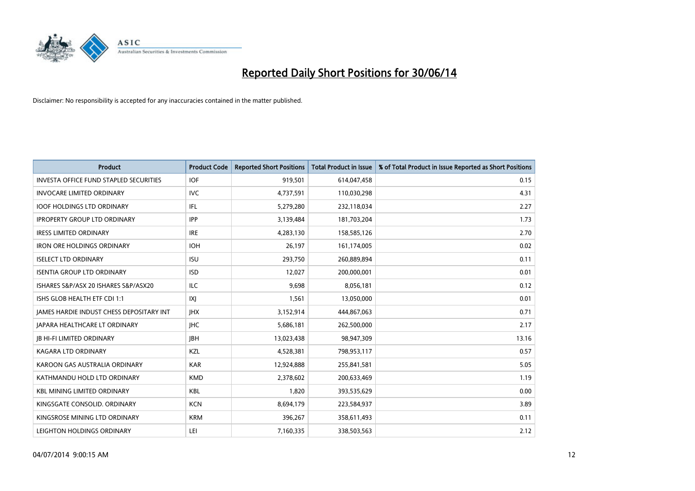

| <b>Product</b>                                | <b>Product Code</b> | <b>Reported Short Positions</b> | <b>Total Product in Issue</b> | % of Total Product in Issue Reported as Short Positions |
|-----------------------------------------------|---------------------|---------------------------------|-------------------------------|---------------------------------------------------------|
| <b>INVESTA OFFICE FUND STAPLED SECURITIES</b> | <b>IOF</b>          | 919,501                         | 614,047,458                   | 0.15                                                    |
| <b>INVOCARE LIMITED ORDINARY</b>              | IVC                 | 4,737,591                       | 110,030,298                   | 4.31                                                    |
| <b>IOOF HOLDINGS LTD ORDINARY</b>             | IFL                 | 5,279,280                       | 232,118,034                   | 2.27                                                    |
| <b>IPROPERTY GROUP LTD ORDINARY</b>           | <b>IPP</b>          | 3,139,484                       | 181,703,204                   | 1.73                                                    |
| <b>IRESS LIMITED ORDINARY</b>                 | <b>IRE</b>          | 4,283,130                       | 158,585,126                   | 2.70                                                    |
| <b>IRON ORE HOLDINGS ORDINARY</b>             | <b>IOH</b>          | 26,197                          | 161,174,005                   | 0.02                                                    |
| <b>ISELECT LTD ORDINARY</b>                   | <b>ISU</b>          | 293,750                         | 260,889,894                   | 0.11                                                    |
| <b>ISENTIA GROUP LTD ORDINARY</b>             | <b>ISD</b>          | 12,027                          | 200,000,001                   | 0.01                                                    |
| ISHARES S&P/ASX 20 ISHARES S&P/ASX20          | <b>ILC</b>          | 9,698                           | 8,056,181                     | 0.12                                                    |
| ISHS GLOB HEALTH ETF CDI 1:1                  | IXJ                 | 1,561                           | 13,050,000                    | 0.01                                                    |
| JAMES HARDIE INDUST CHESS DEPOSITARY INT      | <b>IHX</b>          | 3,152,914                       | 444,867,063                   | 0.71                                                    |
| JAPARA HEALTHCARE LT ORDINARY                 | <b>IHC</b>          | 5,686,181                       | 262,500,000                   | 2.17                                                    |
| <b>JB HI-FI LIMITED ORDINARY</b>              | <b>IBH</b>          | 13,023,438                      | 98,947,309                    | 13.16                                                   |
| <b>KAGARA LTD ORDINARY</b>                    | <b>KZL</b>          | 4,528,381                       | 798,953,117                   | 0.57                                                    |
| KAROON GAS AUSTRALIA ORDINARY                 | <b>KAR</b>          | 12,924,888                      | 255,841,581                   | 5.05                                                    |
| KATHMANDU HOLD LTD ORDINARY                   | <b>KMD</b>          | 2,378,602                       | 200,633,469                   | 1.19                                                    |
| <b>KBL MINING LIMITED ORDINARY</b>            | KBL                 | 1,820                           | 393,535,629                   | 0.00                                                    |
| KINGSGATE CONSOLID, ORDINARY                  | <b>KCN</b>          | 8,694,179                       | 223,584,937                   | 3.89                                                    |
| KINGSROSE MINING LTD ORDINARY                 | <b>KRM</b>          | 396,267                         | 358,611,493                   | 0.11                                                    |
| LEIGHTON HOLDINGS ORDINARY                    | LEI                 | 7,160,335                       | 338,503,563                   | 2.12                                                    |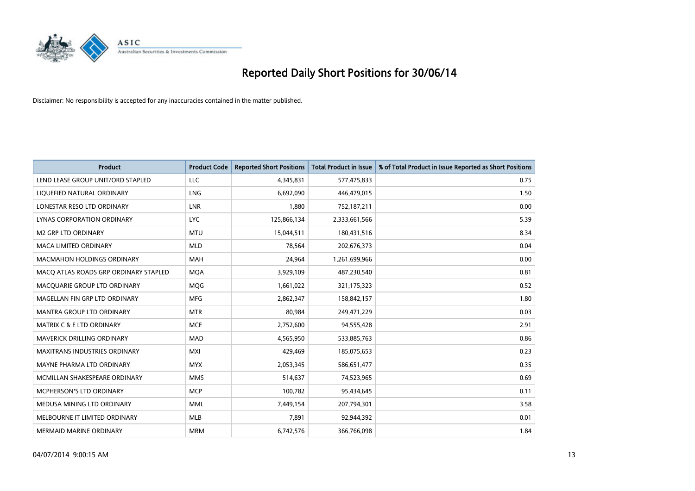

| <b>Product</b>                        | <b>Product Code</b> | <b>Reported Short Positions</b> | <b>Total Product in Issue</b> | % of Total Product in Issue Reported as Short Positions |
|---------------------------------------|---------------------|---------------------------------|-------------------------------|---------------------------------------------------------|
| LEND LEASE GROUP UNIT/ORD STAPLED     | <b>LLC</b>          | 4,345,831                       | 577,475,833                   | 0.75                                                    |
| LIQUEFIED NATURAL ORDINARY            | <b>LNG</b>          | 6,692,090                       | 446,479,015                   | 1.50                                                    |
| LONESTAR RESO LTD ORDINARY            | <b>LNR</b>          | 1,880                           | 752,187,211                   | 0.00                                                    |
| LYNAS CORPORATION ORDINARY            | <b>LYC</b>          | 125,866,134                     | 2,333,661,566                 | 5.39                                                    |
| <b>M2 GRP LTD ORDINARY</b>            | <b>MTU</b>          | 15,044,511                      | 180,431,516                   | 8.34                                                    |
| <b>MACA LIMITED ORDINARY</b>          | <b>MLD</b>          | 78,564                          | 202,676,373                   | 0.04                                                    |
| <b>MACMAHON HOLDINGS ORDINARY</b>     | MAH                 | 24,964                          | 1,261,699,966                 | 0.00                                                    |
| MACO ATLAS ROADS GRP ORDINARY STAPLED | <b>MOA</b>          | 3,929,109                       | 487,230,540                   | 0.81                                                    |
| MACQUARIE GROUP LTD ORDINARY          | MQG                 | 1,661,022                       | 321,175,323                   | 0.52                                                    |
| MAGELLAN FIN GRP LTD ORDINARY         | <b>MFG</b>          | 2,862,347                       | 158,842,157                   | 1.80                                                    |
| MANTRA GROUP LTD ORDINARY             | <b>MTR</b>          | 80,984                          | 249,471,229                   | 0.03                                                    |
| <b>MATRIX C &amp; E LTD ORDINARY</b>  | <b>MCE</b>          | 2,752,600                       | 94,555,428                    | 2.91                                                    |
| MAVERICK DRILLING ORDINARY            | <b>MAD</b>          | 4,565,950                       | 533,885,763                   | 0.86                                                    |
| <b>MAXITRANS INDUSTRIES ORDINARY</b>  | <b>MXI</b>          | 429,469                         | 185,075,653                   | 0.23                                                    |
| MAYNE PHARMA LTD ORDINARY             | <b>MYX</b>          | 2,053,345                       | 586,651,477                   | 0.35                                                    |
| MCMILLAN SHAKESPEARE ORDINARY         | <b>MMS</b>          | 514,637                         | 74,523,965                    | 0.69                                                    |
| MCPHERSON'S LTD ORDINARY              | <b>MCP</b>          | 100,782                         | 95,434,645                    | 0.11                                                    |
| MEDUSA MINING LTD ORDINARY            | <b>MML</b>          | 7,449,154                       | 207,794,301                   | 3.58                                                    |
| MELBOURNE IT LIMITED ORDINARY         | <b>MLB</b>          | 7,891                           | 92,944,392                    | 0.01                                                    |
| <b>MERMAID MARINE ORDINARY</b>        | <b>MRM</b>          | 6,742,576                       | 366,766,098                   | 1.84                                                    |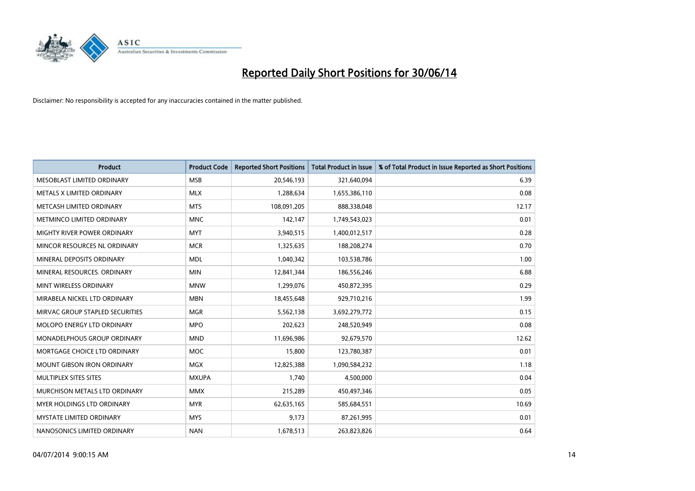

| <b>Product</b>                    | <b>Product Code</b> | <b>Reported Short Positions</b> | <b>Total Product in Issue</b> | % of Total Product in Issue Reported as Short Positions |
|-----------------------------------|---------------------|---------------------------------|-------------------------------|---------------------------------------------------------|
| MESOBLAST LIMITED ORDINARY        | <b>MSB</b>          | 20,546,193                      | 321,640,094                   | 6.39                                                    |
| METALS X LIMITED ORDINARY         | <b>MLX</b>          | 1,288,634                       | 1,655,386,110                 | 0.08                                                    |
| METCASH LIMITED ORDINARY          | <b>MTS</b>          | 108,091,205                     | 888,338,048                   | 12.17                                                   |
| METMINCO LIMITED ORDINARY         | <b>MNC</b>          | 142,147                         | 1,749,543,023                 | 0.01                                                    |
| MIGHTY RIVER POWER ORDINARY       | <b>MYT</b>          | 3,940,515                       | 1,400,012,517                 | 0.28                                                    |
| MINCOR RESOURCES NL ORDINARY      | <b>MCR</b>          | 1,325,635                       | 188,208,274                   | 0.70                                                    |
| MINERAL DEPOSITS ORDINARY         | <b>MDL</b>          | 1,040,342                       | 103,538,786                   | 1.00                                                    |
| MINERAL RESOURCES. ORDINARY       | <b>MIN</b>          | 12,841,344                      | 186,556,246                   | 6.88                                                    |
| MINT WIRELESS ORDINARY            | <b>MNW</b>          | 1,299,076                       | 450,872,395                   | 0.29                                                    |
| MIRABELA NICKEL LTD ORDINARY      | <b>MBN</b>          | 18,455,648                      | 929,710,216                   | 1.99                                                    |
| MIRVAC GROUP STAPLED SECURITIES   | <b>MGR</b>          | 5,562,138                       | 3,692,279,772                 | 0.15                                                    |
| MOLOPO ENERGY LTD ORDINARY        | <b>MPO</b>          | 202,623                         | 248,520,949                   | 0.08                                                    |
| MONADELPHOUS GROUP ORDINARY       | <b>MND</b>          | 11,696,986                      | 92,679,570                    | 12.62                                                   |
| MORTGAGE CHOICE LTD ORDINARY      | MOC                 | 15,800                          | 123,780,387                   | 0.01                                                    |
| <b>MOUNT GIBSON IRON ORDINARY</b> | <b>MGX</b>          | 12,825,388                      | 1,090,584,232                 | 1.18                                                    |
| MULTIPLEX SITES SITES             | <b>MXUPA</b>        | 1,740                           | 4,500,000                     | 0.04                                                    |
| MURCHISON METALS LTD ORDINARY     | <b>MMX</b>          | 215,289                         | 450,497,346                   | 0.05                                                    |
| MYER HOLDINGS LTD ORDINARY        | <b>MYR</b>          | 62,635,165                      | 585,684,551                   | 10.69                                                   |
| <b>MYSTATE LIMITED ORDINARY</b>   | <b>MYS</b>          | 9,173                           | 87,261,995                    | 0.01                                                    |
| NANOSONICS LIMITED ORDINARY       | <b>NAN</b>          | 1,678,513                       | 263,823,826                   | 0.64                                                    |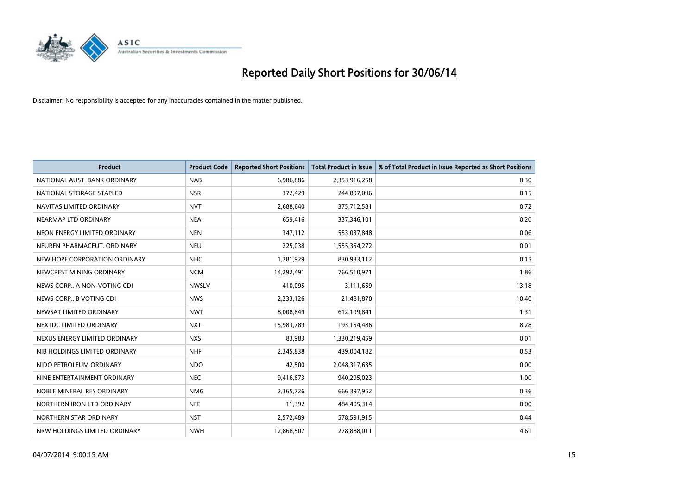

| <b>Product</b>                | <b>Product Code</b> | <b>Reported Short Positions</b> | <b>Total Product in Issue</b> | % of Total Product in Issue Reported as Short Positions |
|-------------------------------|---------------------|---------------------------------|-------------------------------|---------------------------------------------------------|
| NATIONAL AUST, BANK ORDINARY  | <b>NAB</b>          | 6,986,886                       | 2,353,916,258                 | 0.30                                                    |
| NATIONAL STORAGE STAPLED      | <b>NSR</b>          | 372,429                         | 244,897,096                   | 0.15                                                    |
| NAVITAS LIMITED ORDINARY      | <b>NVT</b>          | 2,688,640                       | 375,712,581                   | 0.72                                                    |
| NEARMAP LTD ORDINARY          | <b>NEA</b>          | 659,416                         | 337,346,101                   | 0.20                                                    |
| NEON ENERGY LIMITED ORDINARY  | <b>NEN</b>          | 347,112                         | 553,037,848                   | 0.06                                                    |
| NEUREN PHARMACEUT, ORDINARY   | <b>NEU</b>          | 225,038                         | 1,555,354,272                 | 0.01                                                    |
| NEW HOPE CORPORATION ORDINARY | <b>NHC</b>          | 1,281,929                       | 830,933,112                   | 0.15                                                    |
| NEWCREST MINING ORDINARY      | <b>NCM</b>          | 14,292,491                      | 766,510,971                   | 1.86                                                    |
| NEWS CORP A NON-VOTING CDI    | <b>NWSLV</b>        | 410,095                         | 3,111,659                     | 13.18                                                   |
| NEWS CORP B VOTING CDI        | <b>NWS</b>          | 2,233,126                       | 21,481,870                    | 10.40                                                   |
| NEWSAT LIMITED ORDINARY       | <b>NWT</b>          | 8,008,849                       | 612,199,841                   | 1.31                                                    |
| NEXTDC LIMITED ORDINARY       | <b>NXT</b>          | 15,983,789                      | 193,154,486                   | 8.28                                                    |
| NEXUS ENERGY LIMITED ORDINARY | <b>NXS</b>          | 83,983                          | 1,330,219,459                 | 0.01                                                    |
| NIB HOLDINGS LIMITED ORDINARY | <b>NHF</b>          | 2,345,838                       | 439,004,182                   | 0.53                                                    |
| NIDO PETROLEUM ORDINARY       | <b>NDO</b>          | 42,500                          | 2,048,317,635                 | 0.00                                                    |
| NINE ENTERTAINMENT ORDINARY   | <b>NEC</b>          | 9,416,673                       | 940,295,023                   | 1.00                                                    |
| NOBLE MINERAL RES ORDINARY    | <b>NMG</b>          | 2,365,726                       | 666,397,952                   | 0.36                                                    |
| NORTHERN IRON LTD ORDINARY    | <b>NFE</b>          | 11,392                          | 484,405,314                   | 0.00                                                    |
| NORTHERN STAR ORDINARY        | <b>NST</b>          | 2,572,489                       | 578,591,915                   | 0.44                                                    |
| NRW HOLDINGS LIMITED ORDINARY | <b>NWH</b>          | 12,868,507                      | 278,888,011                   | 4.61                                                    |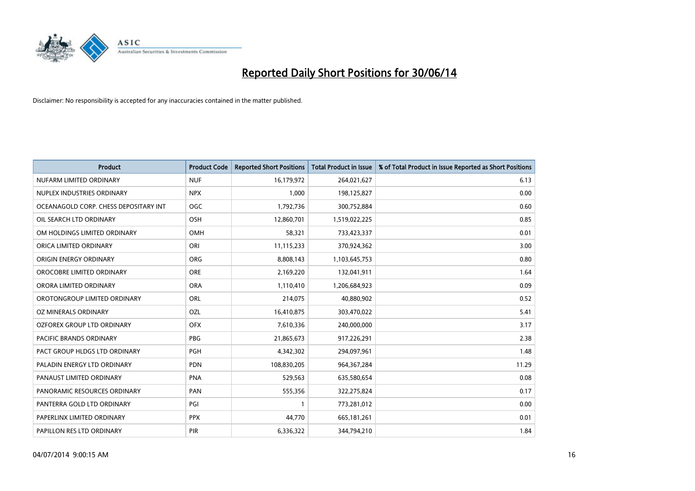

| <b>Product</b>                        | <b>Product Code</b> | <b>Reported Short Positions</b> | <b>Total Product in Issue</b> | % of Total Product in Issue Reported as Short Positions |
|---------------------------------------|---------------------|---------------------------------|-------------------------------|---------------------------------------------------------|
| NUFARM LIMITED ORDINARY               | <b>NUF</b>          | 16,179,972                      | 264,021,627                   | 6.13                                                    |
| NUPLEX INDUSTRIES ORDINARY            | <b>NPX</b>          | 1,000                           | 198,125,827                   | 0.00                                                    |
| OCEANAGOLD CORP. CHESS DEPOSITARY INT | OGC                 | 1,792,736                       | 300,752,884                   | 0.60                                                    |
| OIL SEARCH LTD ORDINARY               | OSH                 | 12,860,701                      | 1,519,022,225                 | 0.85                                                    |
| OM HOLDINGS LIMITED ORDINARY          | OMH                 | 58,321                          | 733,423,337                   | 0.01                                                    |
| ORICA LIMITED ORDINARY                | ORI                 | 11,115,233                      | 370,924,362                   | 3.00                                                    |
| ORIGIN ENERGY ORDINARY                | <b>ORG</b>          | 8,808,143                       | 1,103,645,753                 | 0.80                                                    |
| OROCOBRE LIMITED ORDINARY             | <b>ORE</b>          | 2,169,220                       | 132,041,911                   | 1.64                                                    |
| ORORA LIMITED ORDINARY                | <b>ORA</b>          | 1,110,410                       | 1,206,684,923                 | 0.09                                                    |
| OROTONGROUP LIMITED ORDINARY          | <b>ORL</b>          | 214,075                         | 40,880,902                    | 0.52                                                    |
| OZ MINERALS ORDINARY                  | OZL                 | 16,410,875                      | 303,470,022                   | 5.41                                                    |
| <b>OZFOREX GROUP LTD ORDINARY</b>     | <b>OFX</b>          | 7,610,336                       | 240,000,000                   | 3.17                                                    |
| <b>PACIFIC BRANDS ORDINARY</b>        | <b>PBG</b>          | 21,865,673                      | 917,226,291                   | 2.38                                                    |
| PACT GROUP HLDGS LTD ORDINARY         | <b>PGH</b>          | 4,342,302                       | 294,097,961                   | 1.48                                                    |
| PALADIN ENERGY LTD ORDINARY           | <b>PDN</b>          | 108,830,205                     | 964, 367, 284                 | 11.29                                                   |
| PANAUST LIMITED ORDINARY              | <b>PNA</b>          | 529,563                         | 635,580,654                   | 0.08                                                    |
| PANORAMIC RESOURCES ORDINARY          | PAN                 | 555,356                         | 322,275,824                   | 0.17                                                    |
| PANTERRA GOLD LTD ORDINARY            | PGI                 | 1                               | 773,281,012                   | 0.00                                                    |
| PAPERLINX LIMITED ORDINARY            | <b>PPX</b>          | 44,770                          | 665,181,261                   | 0.01                                                    |
| PAPILLON RES LTD ORDINARY             | <b>PIR</b>          | 6,336,322                       | 344,794,210                   | 1.84                                                    |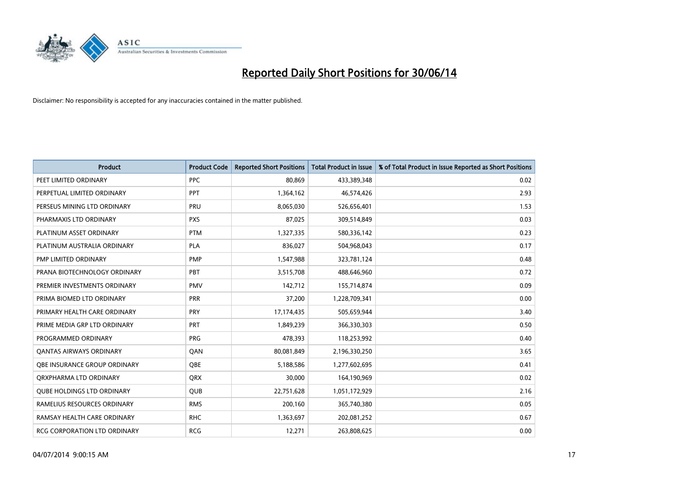

| <b>Product</b>                    | <b>Product Code</b> | <b>Reported Short Positions</b> | <b>Total Product in Issue</b> | % of Total Product in Issue Reported as Short Positions |
|-----------------------------------|---------------------|---------------------------------|-------------------------------|---------------------------------------------------------|
| PEET LIMITED ORDINARY             | <b>PPC</b>          | 80,869                          | 433,389,348                   | 0.02                                                    |
| PERPETUAL LIMITED ORDINARY        | <b>PPT</b>          | 1,364,162                       | 46,574,426                    | 2.93                                                    |
| PERSEUS MINING LTD ORDINARY       | <b>PRU</b>          | 8,065,030                       | 526,656,401                   | 1.53                                                    |
| PHARMAXIS LTD ORDINARY            | <b>PXS</b>          | 87,025                          | 309,514,849                   | 0.03                                                    |
| PLATINUM ASSET ORDINARY           | <b>PTM</b>          | 1,327,335                       | 580,336,142                   | 0.23                                                    |
| PLATINUM AUSTRALIA ORDINARY       | <b>PLA</b>          | 836,027                         | 504,968,043                   | 0.17                                                    |
| PMP LIMITED ORDINARY              | <b>PMP</b>          | 1,547,988                       | 323,781,124                   | 0.48                                                    |
| PRANA BIOTECHNOLOGY ORDINARY      | PBT                 | 3,515,708                       | 488,646,960                   | 0.72                                                    |
| PREMIER INVESTMENTS ORDINARY      | <b>PMV</b>          | 142,712                         | 155,714,874                   | 0.09                                                    |
| PRIMA BIOMED LTD ORDINARY         | <b>PRR</b>          | 37,200                          | 1,228,709,341                 | 0.00                                                    |
| PRIMARY HEALTH CARE ORDINARY      | <b>PRY</b>          | 17,174,435                      | 505,659,944                   | 3.40                                                    |
| PRIME MEDIA GRP LTD ORDINARY      | <b>PRT</b>          | 1,849,239                       | 366,330,303                   | 0.50                                                    |
| PROGRAMMED ORDINARY               | <b>PRG</b>          | 478,393                         | 118,253,992                   | 0.40                                                    |
| <b>QANTAS AIRWAYS ORDINARY</b>    | QAN                 | 80,081,849                      | 2,196,330,250                 | 3.65                                                    |
| OBE INSURANCE GROUP ORDINARY      | <b>OBE</b>          | 5,188,586                       | 1,277,602,695                 | 0.41                                                    |
| QRXPHARMA LTD ORDINARY            | <b>QRX</b>          | 30,000                          | 164,190,969                   | 0.02                                                    |
| <b>QUBE HOLDINGS LTD ORDINARY</b> | <b>QUB</b>          | 22,751,628                      | 1,051,172,929                 | 2.16                                                    |
| RAMELIUS RESOURCES ORDINARY       | <b>RMS</b>          | 200,160                         | 365,740,380                   | 0.05                                                    |
| RAMSAY HEALTH CARE ORDINARY       | <b>RHC</b>          | 1,363,697                       | 202,081,252                   | 0.67                                                    |
| RCG CORPORATION LTD ORDINARY      | <b>RCG</b>          | 12,271                          | 263,808,625                   | 0.00                                                    |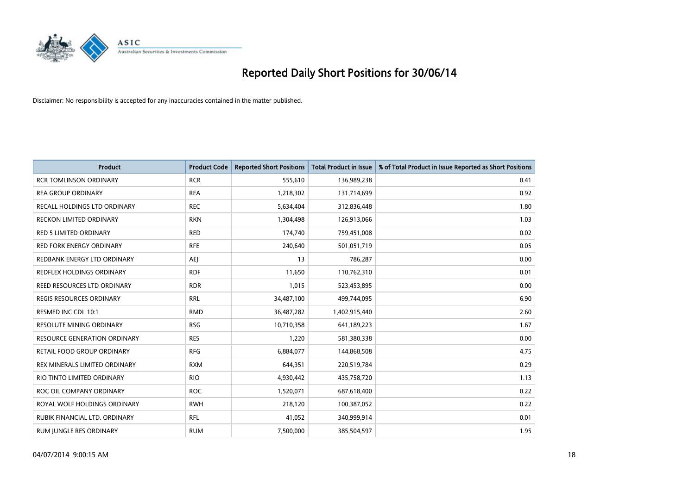

| <b>Product</b>                  | <b>Product Code</b> | <b>Reported Short Positions</b> | <b>Total Product in Issue</b> | % of Total Product in Issue Reported as Short Positions |
|---------------------------------|---------------------|---------------------------------|-------------------------------|---------------------------------------------------------|
| <b>RCR TOMLINSON ORDINARY</b>   | <b>RCR</b>          | 555,610                         | 136,989,238                   | 0.41                                                    |
| REA GROUP ORDINARY              | <b>REA</b>          | 1,218,302                       | 131,714,699                   | 0.92                                                    |
| RECALL HOLDINGS LTD ORDINARY    | <b>REC</b>          | 5,634,404                       | 312,836,448                   | 1.80                                                    |
| <b>RECKON LIMITED ORDINARY</b>  | <b>RKN</b>          | 1,304,498                       | 126,913,066                   | 1.03                                                    |
| <b>RED 5 LIMITED ORDINARY</b>   | <b>RED</b>          | 174,740                         | 759,451,008                   | 0.02                                                    |
| <b>RED FORK ENERGY ORDINARY</b> | <b>RFE</b>          | 240,640                         | 501,051,719                   | 0.05                                                    |
| REDBANK ENERGY LTD ORDINARY     | AEJ                 | 13                              | 786,287                       | 0.00                                                    |
| REDFLEX HOLDINGS ORDINARY       | <b>RDF</b>          | 11,650                          | 110,762,310                   | 0.01                                                    |
| REED RESOURCES LTD ORDINARY     | <b>RDR</b>          | 1,015                           | 523,453,895                   | 0.00                                                    |
| <b>REGIS RESOURCES ORDINARY</b> | <b>RRL</b>          | 34,487,100                      | 499,744,095                   | 6.90                                                    |
| RESMED INC CDI 10:1             | <b>RMD</b>          | 36,487,282                      | 1,402,915,440                 | 2.60                                                    |
| RESOLUTE MINING ORDINARY        | <b>RSG</b>          | 10,710,358                      | 641,189,223                   | 1.67                                                    |
| RESOURCE GENERATION ORDINARY    | <b>RES</b>          | 1,220                           | 581,380,338                   | 0.00                                                    |
| RETAIL FOOD GROUP ORDINARY      | <b>RFG</b>          | 6,884,077                       | 144,868,508                   | 4.75                                                    |
| REX MINERALS LIMITED ORDINARY   | <b>RXM</b>          | 644,351                         | 220,519,784                   | 0.29                                                    |
| RIO TINTO LIMITED ORDINARY      | <b>RIO</b>          | 4,930,442                       | 435,758,720                   | 1.13                                                    |
| ROC OIL COMPANY ORDINARY        | <b>ROC</b>          | 1,520,071                       | 687,618,400                   | 0.22                                                    |
| ROYAL WOLF HOLDINGS ORDINARY    | <b>RWH</b>          | 218,120                         | 100,387,052                   | 0.22                                                    |
| RUBIK FINANCIAL LTD. ORDINARY   | <b>RFL</b>          | 41,052                          | 340,999,914                   | 0.01                                                    |
| RUM JUNGLE RES ORDINARY         | <b>RUM</b>          | 7,500,000                       | 385,504,597                   | 1.95                                                    |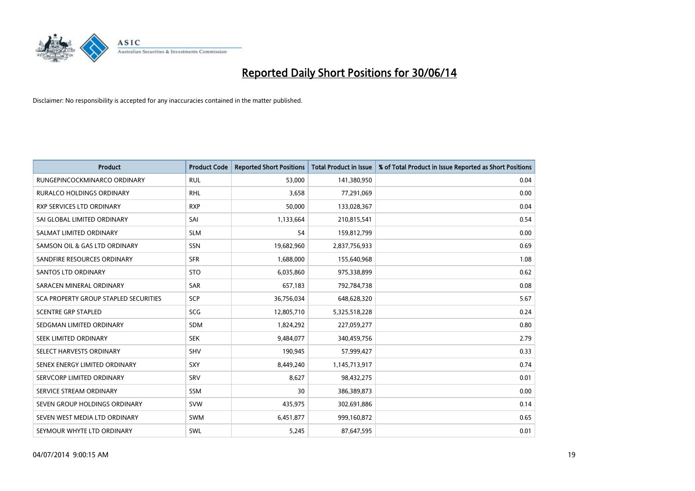

| <b>Product</b>                        | <b>Product Code</b> | <b>Reported Short Positions</b> | <b>Total Product in Issue</b> | % of Total Product in Issue Reported as Short Positions |
|---------------------------------------|---------------------|---------------------------------|-------------------------------|---------------------------------------------------------|
| RUNGEPINCOCKMINARCO ORDINARY          | <b>RUL</b>          | 53,000                          | 141,380,950                   | 0.04                                                    |
| <b>RURALCO HOLDINGS ORDINARY</b>      | <b>RHL</b>          | 3,658                           | 77,291,069                    | 0.00                                                    |
| RXP SERVICES LTD ORDINARY             | <b>RXP</b>          | 50,000                          | 133,028,367                   | 0.04                                                    |
| SAI GLOBAL LIMITED ORDINARY           | SAI                 | 1,133,664                       | 210,815,541                   | 0.54                                                    |
| SALMAT LIMITED ORDINARY               | <b>SLM</b>          | 54                              | 159,812,799                   | 0.00                                                    |
| SAMSON OIL & GAS LTD ORDINARY         | SSN                 | 19,682,960                      | 2,837,756,933                 | 0.69                                                    |
| SANDFIRE RESOURCES ORDINARY           | <b>SFR</b>          | 1,688,000                       | 155,640,968                   | 1.08                                                    |
| <b>SANTOS LTD ORDINARY</b>            | <b>STO</b>          | 6,035,860                       | 975,338,899                   | 0.62                                                    |
| SARACEN MINERAL ORDINARY              | <b>SAR</b>          | 657,183                         | 792,784,738                   | 0.08                                                    |
| SCA PROPERTY GROUP STAPLED SECURITIES | SCP                 | 36,756,034                      | 648,628,320                   | 5.67                                                    |
| <b>SCENTRE GRP STAPLED</b>            | <b>SCG</b>          | 12,805,710                      | 5,325,518,228                 | 0.24                                                    |
| SEDGMAN LIMITED ORDINARY              | SDM                 | 1,824,292                       | 227,059,277                   | 0.80                                                    |
| SEEK LIMITED ORDINARY                 | <b>SEK</b>          | 9,484,077                       | 340,459,756                   | 2.79                                                    |
| SELECT HARVESTS ORDINARY              | SHV                 | 190,945                         | 57,999,427                    | 0.33                                                    |
| SENEX ENERGY LIMITED ORDINARY         | SXY                 | 8,449,240                       | 1,145,713,917                 | 0.74                                                    |
| SERVCORP LIMITED ORDINARY             | SRV                 | 8,627                           | 98,432,275                    | 0.01                                                    |
| SERVICE STREAM ORDINARY               | SSM                 | 30                              | 386,389,873                   | 0.00                                                    |
| SEVEN GROUP HOLDINGS ORDINARY         | <b>SVW</b>          | 435,975                         | 302,691,886                   | 0.14                                                    |
| SEVEN WEST MEDIA LTD ORDINARY         | <b>SWM</b>          | 6,451,877                       | 999,160,872                   | 0.65                                                    |
| SEYMOUR WHYTE LTD ORDINARY            | SWL                 | 5,245                           | 87,647,595                    | 0.01                                                    |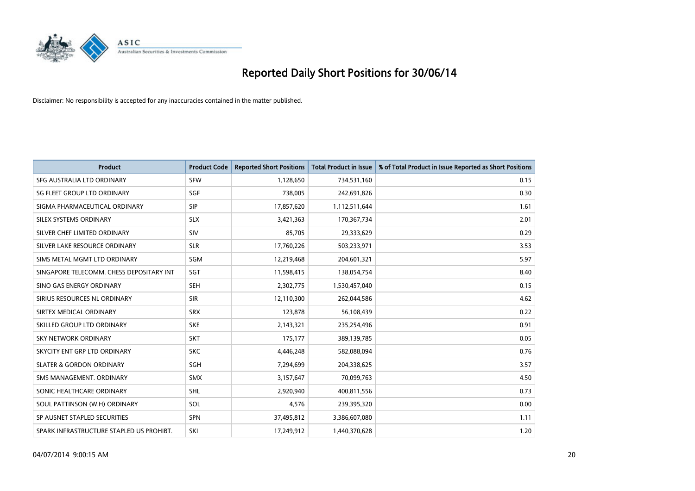

| <b>Product</b>                           | <b>Product Code</b> | <b>Reported Short Positions</b> | <b>Total Product in Issue</b> | % of Total Product in Issue Reported as Short Positions |
|------------------------------------------|---------------------|---------------------------------|-------------------------------|---------------------------------------------------------|
| SFG AUSTRALIA LTD ORDINARY               | <b>SFW</b>          | 1,128,650                       | 734,531,160                   | 0.15                                                    |
| SG FLEET GROUP LTD ORDINARY              | <b>SGF</b>          | 738,005                         | 242,691,826                   | 0.30                                                    |
| SIGMA PHARMACEUTICAL ORDINARY            | <b>SIP</b>          | 17,857,620                      | 1,112,511,644                 | 1.61                                                    |
| SILEX SYSTEMS ORDINARY                   | <b>SLX</b>          | 3,421,363                       | 170,367,734                   | 2.01                                                    |
| SILVER CHEF LIMITED ORDINARY             | SIV                 | 85,705                          | 29,333,629                    | 0.29                                                    |
| SILVER LAKE RESOURCE ORDINARY            | <b>SLR</b>          | 17,760,226                      | 503,233,971                   | 3.53                                                    |
| SIMS METAL MGMT LTD ORDINARY             | SGM                 | 12,219,468                      | 204,601,321                   | 5.97                                                    |
| SINGAPORE TELECOMM. CHESS DEPOSITARY INT | SGT                 | 11,598,415                      | 138,054,754                   | 8.40                                                    |
| SINO GAS ENERGY ORDINARY                 | <b>SEH</b>          | 2,302,775                       | 1,530,457,040                 | 0.15                                                    |
| SIRIUS RESOURCES NL ORDINARY             | <b>SIR</b>          | 12,110,300                      | 262,044,586                   | 4.62                                                    |
| SIRTEX MEDICAL ORDINARY                  | <b>SRX</b>          | 123,878                         | 56,108,439                    | 0.22                                                    |
| SKILLED GROUP LTD ORDINARY               | <b>SKE</b>          | 2,143,321                       | 235,254,496                   | 0.91                                                    |
| <b>SKY NETWORK ORDINARY</b>              | <b>SKT</b>          | 175,177                         | 389,139,785                   | 0.05                                                    |
| SKYCITY ENT GRP LTD ORDINARY             | <b>SKC</b>          | 4,446,248                       | 582,088,094                   | 0.76                                                    |
| <b>SLATER &amp; GORDON ORDINARY</b>      | SGH                 | 7,294,699                       | 204,338,625                   | 3.57                                                    |
| SMS MANAGEMENT, ORDINARY                 | <b>SMX</b>          | 3,157,647                       | 70,099,763                    | 4.50                                                    |
| SONIC HEALTHCARE ORDINARY                | <b>SHL</b>          | 2,920,940                       | 400,811,556                   | 0.73                                                    |
| SOUL PATTINSON (W.H) ORDINARY            | <b>SOL</b>          | 4,576                           | 239,395,320                   | 0.00                                                    |
| SP AUSNET STAPLED SECURITIES             | <b>SPN</b>          | 37,495,812                      | 3,386,607,080                 | 1.11                                                    |
| SPARK INFRASTRUCTURE STAPLED US PROHIBT. | SKI                 | 17,249,912                      | 1,440,370,628                 | 1.20                                                    |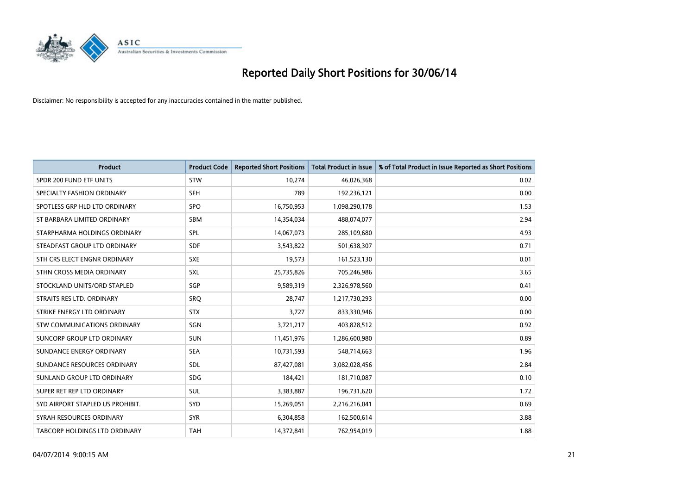

| <b>Product</b>                       | <b>Product Code</b> | <b>Reported Short Positions</b> | <b>Total Product in Issue</b> | % of Total Product in Issue Reported as Short Positions |
|--------------------------------------|---------------------|---------------------------------|-------------------------------|---------------------------------------------------------|
| SPDR 200 FUND ETF UNITS              | <b>STW</b>          | 10,274                          | 46,026,368                    | 0.02                                                    |
| SPECIALTY FASHION ORDINARY           | <b>SFH</b>          | 789                             | 192,236,121                   | 0.00                                                    |
| SPOTLESS GRP HLD LTD ORDINARY        | <b>SPO</b>          | 16,750,953                      | 1,098,290,178                 | 1.53                                                    |
| ST BARBARA LIMITED ORDINARY          | <b>SBM</b>          | 14,354,034                      | 488,074,077                   | 2.94                                                    |
| STARPHARMA HOLDINGS ORDINARY         | SPL                 | 14,067,073                      | 285,109,680                   | 4.93                                                    |
| STEADFAST GROUP LTD ORDINARY         | <b>SDF</b>          | 3,543,822                       | 501,638,307                   | 0.71                                                    |
| STH CRS ELECT ENGNR ORDINARY         | <b>SXE</b>          | 19,573                          | 161,523,130                   | 0.01                                                    |
| STHN CROSS MEDIA ORDINARY            | <b>SXL</b>          | 25,735,826                      | 705,246,986                   | 3.65                                                    |
| STOCKLAND UNITS/ORD STAPLED          | <b>SGP</b>          | 9,589,319                       | 2,326,978,560                 | 0.41                                                    |
| STRAITS RES LTD. ORDINARY            | SRQ                 | 28,747                          | 1,217,730,293                 | 0.00                                                    |
| STRIKE ENERGY LTD ORDINARY           | <b>STX</b>          | 3,727                           | 833,330,946                   | 0.00                                                    |
| STW COMMUNICATIONS ORDINARY          | SGN                 | 3,721,217                       | 403,828,512                   | 0.92                                                    |
| SUNCORP GROUP LTD ORDINARY           | <b>SUN</b>          | 11,451,976                      | 1,286,600,980                 | 0.89                                                    |
| SUNDANCE ENERGY ORDINARY             | <b>SEA</b>          | 10,731,593                      | 548,714,663                   | 1.96                                                    |
| SUNDANCE RESOURCES ORDINARY          | SDL                 | 87,427,081                      | 3,082,028,456                 | 2.84                                                    |
| SUNLAND GROUP LTD ORDINARY           | <b>SDG</b>          | 184,421                         | 181,710,087                   | 0.10                                                    |
| SUPER RET REP LTD ORDINARY           | <b>SUL</b>          | 3,383,887                       | 196,731,620                   | 1.72                                                    |
| SYD AIRPORT STAPLED US PROHIBIT.     | SYD                 | 15,269,051                      | 2,216,216,041                 | 0.69                                                    |
| SYRAH RESOURCES ORDINARY             | <b>SYR</b>          | 6,304,858                       | 162,500,614                   | 3.88                                                    |
| <b>TABCORP HOLDINGS LTD ORDINARY</b> | <b>TAH</b>          | 14,372,841                      | 762,954,019                   | 1.88                                                    |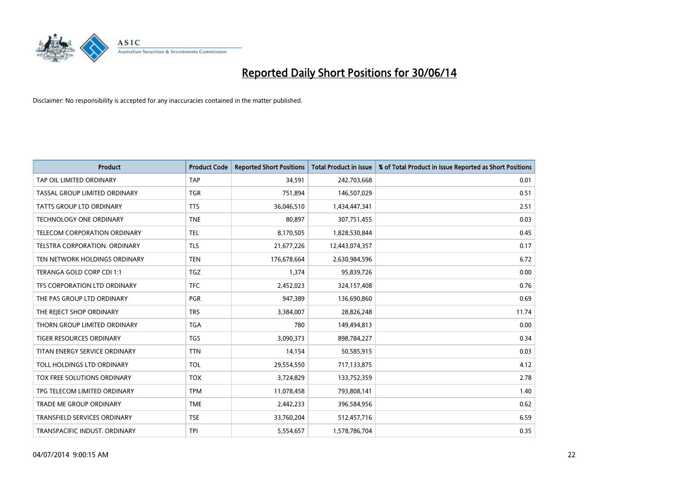

| <b>Product</b>                      | <b>Product Code</b> | <b>Reported Short Positions</b> | <b>Total Product in Issue</b> | % of Total Product in Issue Reported as Short Positions |
|-------------------------------------|---------------------|---------------------------------|-------------------------------|---------------------------------------------------------|
| TAP OIL LIMITED ORDINARY            | <b>TAP</b>          | 34,591                          | 242,703,668                   | 0.01                                                    |
| TASSAL GROUP LIMITED ORDINARY       | <b>TGR</b>          | 751,894                         | 146,507,029                   | 0.51                                                    |
| <b>TATTS GROUP LTD ORDINARY</b>     | <b>TTS</b>          | 36,046,510                      | 1,434,447,341                 | 2.51                                                    |
| TECHNOLOGY ONE ORDINARY             | <b>TNE</b>          | 80,897                          | 307,751,455                   | 0.03                                                    |
| TELECOM CORPORATION ORDINARY        | <b>TEL</b>          | 8,170,505                       | 1,828,530,844                 | 0.45                                                    |
| TELSTRA CORPORATION, ORDINARY       | <b>TLS</b>          | 21,677,226                      | 12,443,074,357                | 0.17                                                    |
| TEN NETWORK HOLDINGS ORDINARY       | <b>TEN</b>          | 176,678,664                     | 2,630,984,596                 | 6.72                                                    |
| TERANGA GOLD CORP CDI 1:1           | TGZ                 | 1,374                           | 95,839,726                    | 0.00                                                    |
| TFS CORPORATION LTD ORDINARY        | <b>TFC</b>          | 2,452,023                       | 324,157,408                   | 0.76                                                    |
| THE PAS GROUP LTD ORDINARY          | <b>PGR</b>          | 947,389                         | 136,690,860                   | 0.69                                                    |
| THE REJECT SHOP ORDINARY            | <b>TRS</b>          | 3,384,007                       | 28,826,248                    | 11.74                                                   |
| THORN GROUP LIMITED ORDINARY        | <b>TGA</b>          | 780                             | 149,494,813                   | 0.00                                                    |
| TIGER RESOURCES ORDINARY            | <b>TGS</b>          | 3,090,373                       | 898,784,227                   | 0.34                                                    |
| TITAN ENERGY SERVICE ORDINARY       | <b>TTN</b>          | 14,154                          | 50,585,915                    | 0.03                                                    |
| TOLL HOLDINGS LTD ORDINARY          | <b>TOL</b>          | 29,554,550                      | 717,133,875                   | 4.12                                                    |
| TOX FREE SOLUTIONS ORDINARY         | <b>TOX</b>          | 3,724,829                       | 133,752,359                   | 2.78                                                    |
| TPG TELECOM LIMITED ORDINARY        | <b>TPM</b>          | 11,078,458                      | 793,808,141                   | 1.40                                                    |
| TRADE ME GROUP ORDINARY             | <b>TME</b>          | 2,442,233                       | 396,584,956                   | 0.62                                                    |
| <b>TRANSFIELD SERVICES ORDINARY</b> | <b>TSE</b>          | 33,760,204                      | 512,457,716                   | 6.59                                                    |
| TRANSPACIFIC INDUST. ORDINARY       | TPI                 | 5,554,657                       | 1,578,786,704                 | 0.35                                                    |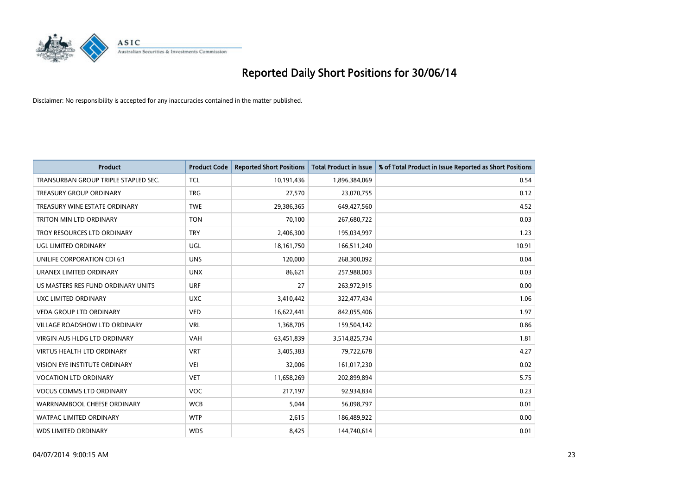

| <b>Product</b>                       | <b>Product Code</b> | <b>Reported Short Positions</b> | <b>Total Product in Issue</b> | % of Total Product in Issue Reported as Short Positions |
|--------------------------------------|---------------------|---------------------------------|-------------------------------|---------------------------------------------------------|
| TRANSURBAN GROUP TRIPLE STAPLED SEC. | <b>TCL</b>          | 10,191,436                      | 1,896,384,069                 | 0.54                                                    |
| TREASURY GROUP ORDINARY              | <b>TRG</b>          | 27,570                          | 23,070,755                    | 0.12                                                    |
| TREASURY WINE ESTATE ORDINARY        | <b>TWE</b>          | 29,386,365                      | 649,427,560                   | 4.52                                                    |
| TRITON MIN LTD ORDINARY              | <b>TON</b>          | 70,100                          | 267,680,722                   | 0.03                                                    |
| TROY RESOURCES LTD ORDINARY          | <b>TRY</b>          | 2,406,300                       | 195,034,997                   | 1.23                                                    |
| UGL LIMITED ORDINARY                 | UGL                 | 18, 161, 750                    | 166,511,240                   | 10.91                                                   |
| UNILIFE CORPORATION CDI 6:1          | <b>UNS</b>          | 120,000                         | 268,300,092                   | 0.04                                                    |
| URANEX LIMITED ORDINARY              | <b>UNX</b>          | 86,621                          | 257,988,003                   | 0.03                                                    |
| US MASTERS RES FUND ORDINARY UNITS   | <b>URF</b>          | 27                              | 263,972,915                   | 0.00                                                    |
| <b>UXC LIMITED ORDINARY</b>          | <b>UXC</b>          | 3,410,442                       | 322,477,434                   | 1.06                                                    |
| <b>VEDA GROUP LTD ORDINARY</b>       | <b>VED</b>          | 16,622,441                      | 842,055,406                   | 1.97                                                    |
| VILLAGE ROADSHOW LTD ORDINARY        | <b>VRL</b>          | 1,368,705                       | 159,504,142                   | 0.86                                                    |
| <b>VIRGIN AUS HLDG LTD ORDINARY</b>  | <b>VAH</b>          | 63,451,839                      | 3,514,825,734                 | 1.81                                                    |
| <b>VIRTUS HEALTH LTD ORDINARY</b>    | <b>VRT</b>          | 3,405,383                       | 79,722,678                    | 4.27                                                    |
| VISION EYE INSTITUTE ORDINARY        | VEI                 | 32,006                          | 161,017,230                   | 0.02                                                    |
| <b>VOCATION LTD ORDINARY</b>         | <b>VET</b>          | 11,658,269                      | 202,899,894                   | 5.75                                                    |
| <b>VOCUS COMMS LTD ORDINARY</b>      | VOC                 | 217,197                         | 92,934,834                    | 0.23                                                    |
| WARRNAMBOOL CHEESE ORDINARY          | <b>WCB</b>          | 5,044                           | 56,098,797                    | 0.01                                                    |
| <b>WATPAC LIMITED ORDINARY</b>       | <b>WTP</b>          | 2,615                           | 186,489,922                   | 0.00                                                    |
| <b>WDS LIMITED ORDINARY</b>          | <b>WDS</b>          | 8,425                           | 144,740,614                   | 0.01                                                    |